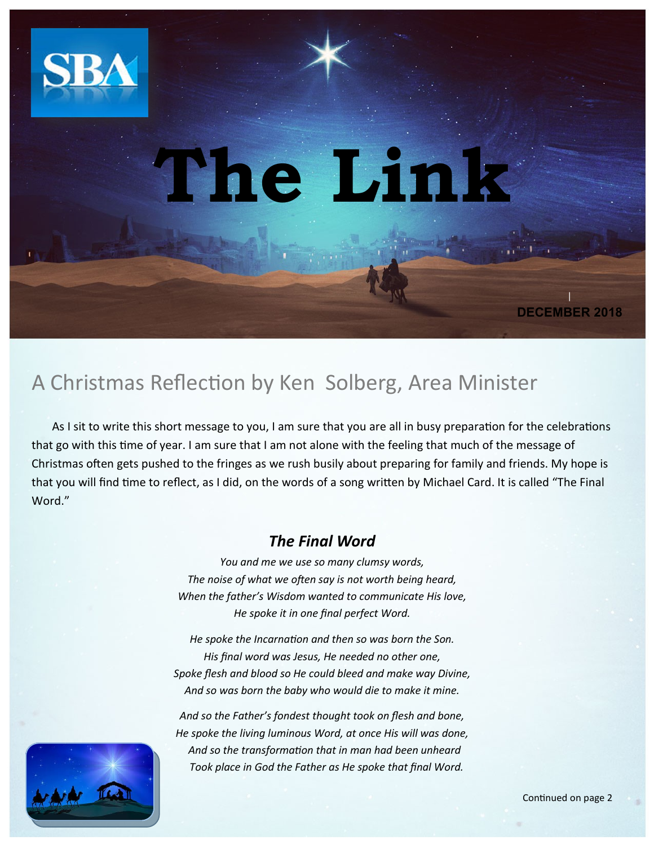

## **The Link**

## A Christmas Reflection by Ken Solberg, Area Minister

 As I sit to write this short message to you, I am sure that you are all in busy preparation for the celebrations that go with this time of year. I am sure that I am not alone with the feeling that much of the message of Christmas often gets pushed to the fringes as we rush busily about preparing for family and friends. My hope is that you will find time to reflect, as I did, on the words of a song written by Michael Card. It is called "The Final Word."

## *The Final Word*

*You and me we use so many clumsy words, The noise of what we often say is not worth being heard, When the father's Wisdom wanted to communicate His love, He spoke it in one final perfect Word.*

*He spoke the Incarnation and then so was born the Son. His final word was Jesus, He needed no other one, Spoke flesh and blood so He could bleed and make way Divine, And so was born the baby who would die to make it mine.*

*And so the Father's fondest thought took on flesh and bone, He spoke the living luminous Word, at once His will was done, And so the transformation that in man had been unheard Took place in God the Father as He spoke that final Word.*



| **DECEMBER 2018**